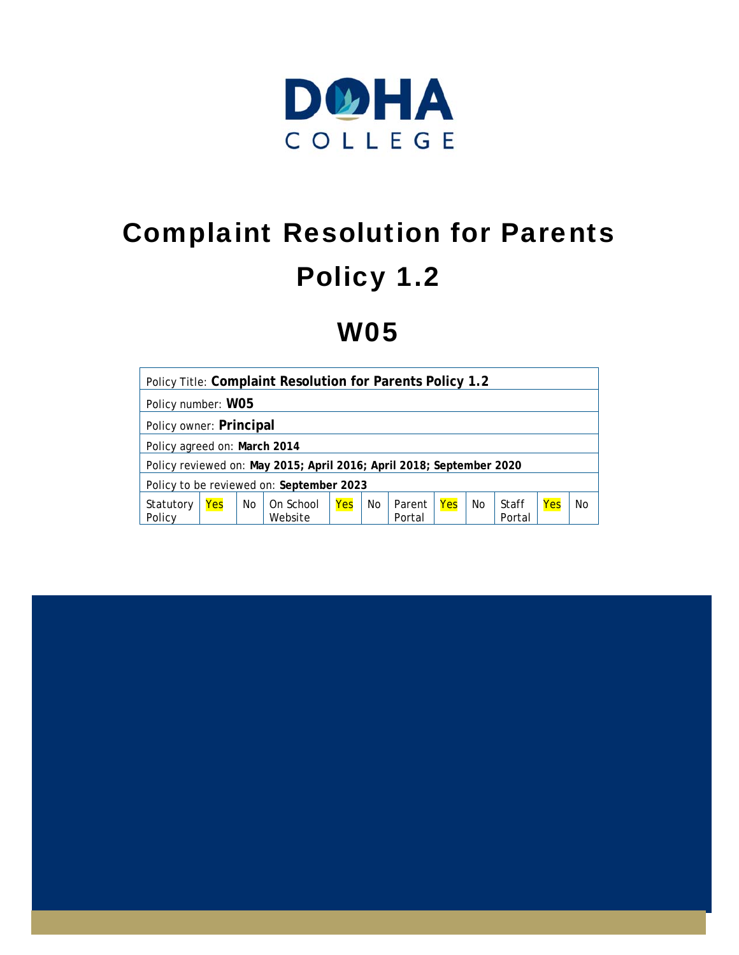

## Complaint Resolution for Parents Policy 1.2

### W05

| Policy Title: Complaint Resolution for Parents Policy 1.2            |     |     |                      |     |    |                  |     |     |                 |     |           |
|----------------------------------------------------------------------|-----|-----|----------------------|-----|----|------------------|-----|-----|-----------------|-----|-----------|
| Policy number: W05                                                   |     |     |                      |     |    |                  |     |     |                 |     |           |
| Policy owner: Principal                                              |     |     |                      |     |    |                  |     |     |                 |     |           |
| Policy agreed on: March 2014                                         |     |     |                      |     |    |                  |     |     |                 |     |           |
| Policy reviewed on: May 2015; April 2016; April 2018; September 2020 |     |     |                      |     |    |                  |     |     |                 |     |           |
| Policy to be reviewed on: September 2023                             |     |     |                      |     |    |                  |     |     |                 |     |           |
| Statutory<br>Policy                                                  | Yes | No. | On School<br>Website | Yes | No | Parent<br>Portal | Yes | No. | Staff<br>Portal | Yes | <b>No</b> |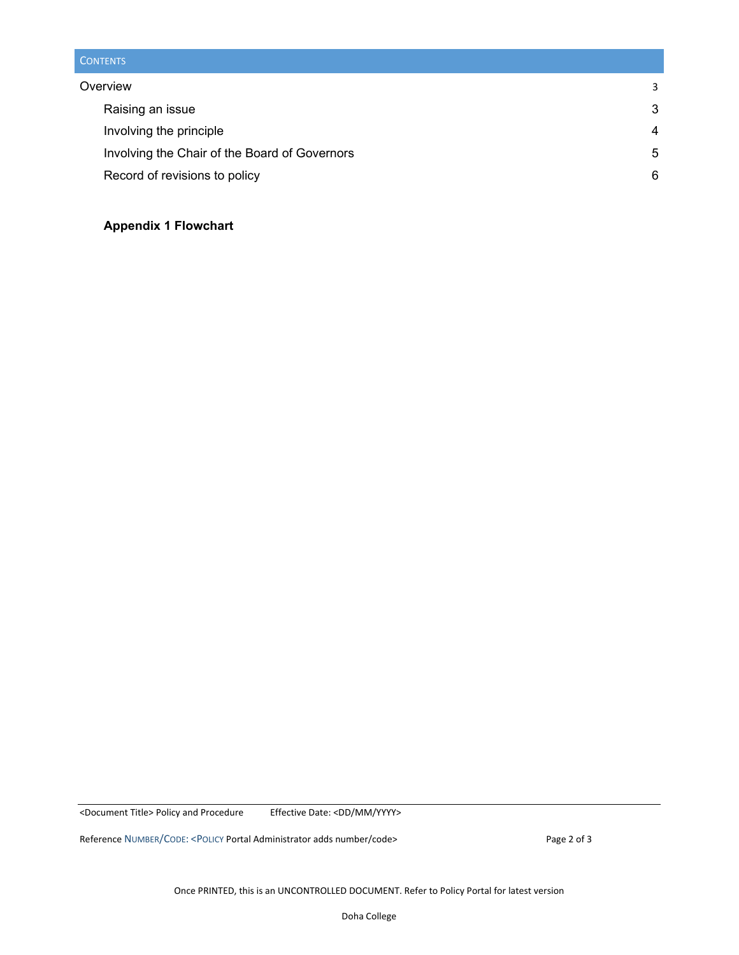#### **CONTENTS**

| Overview |  |
|----------|--|
|          |  |

| Overview |                                               | 3           |
|----------|-----------------------------------------------|-------------|
|          | Raising an issue                              | 3           |
|          | Involving the principle                       | 4           |
|          | Involving the Chair of the Board of Governors | $5^{\circ}$ |
|          | Record of revisions to policy                 | 6           |
|          |                                               |             |

#### **Appendix 1 Flowchart**

<Document Title> Policy and Procedure Effective Date: <DD/MM/YYYY>

Reference NUMBER/CODE: <POLICY Portal Administrator adds number/code> Page 2 of 3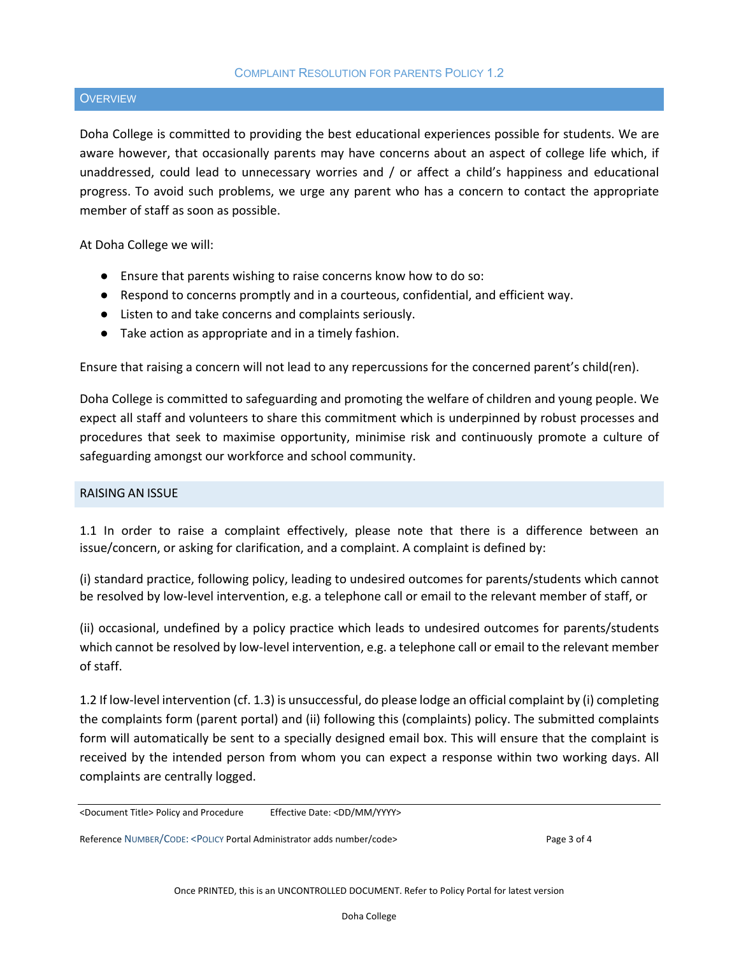#### **OVERVIEW**

Doha College is committed to providing the best educational experiences possible for students. We are aware however, that occasionally parents may have concerns about an aspect of college life which, if unaddressed, could lead to unnecessary worries and / or affect a child's happiness and educational progress. To avoid such problems, we urge any parent who has a concern to contact the appropriate member of staff as soon as possible.

At Doha College we will:

- Ensure that parents wishing to raise concerns know how to do so:
- Respond to concerns promptly and in a courteous, confidential, and efficient way.
- Listen to and take concerns and complaints seriously.
- Take action as appropriate and in a timely fashion.

Ensure that raising a concern will not lead to any repercussions for the concerned parent's child(ren).

Doha College is committed to safeguarding and promoting the welfare of children and young people. We expect all staff and volunteers to share this commitment which is underpinned by robust processes and procedures that seek to maximise opportunity, minimise risk and continuously promote a culture of safeguarding amongst our workforce and school community.

#### RAISING AN ISSUE

1.1 In order to raise a complaint effectively, please note that there is a difference between an issue/concern, or asking for clarification, and a complaint. A complaint is defined by:

(i) standard practice, following policy, leading to undesired outcomes for parents/students which cannot be resolved by low-level intervention, e.g. a telephone call or email to the relevant member of staff, or

(ii) occasional, undefined by a policy practice which leads to undesired outcomes for parents/students which cannot be resolved by low-level intervention, e.g. a telephone call or email to the relevant member of staff.

1.2 If low‐level intervention (cf. 1.3) is unsuccessful, do please lodge an official complaint by (i) completing the complaints form (parent portal) and (ii) following this (complaints) policy. The submitted complaints form will automatically be sent to a specially designed email box. This will ensure that the complaint is received by the intended person from whom you can expect a response within two working days. All complaints are centrally logged.

Reference NUMBER/CODE: <POLICY Portal Administrator adds number/code> Page 3 of 4

<sup>&</sup>lt;Document Title> Policy and Procedure Effective Date: <DD/MM/YYYY>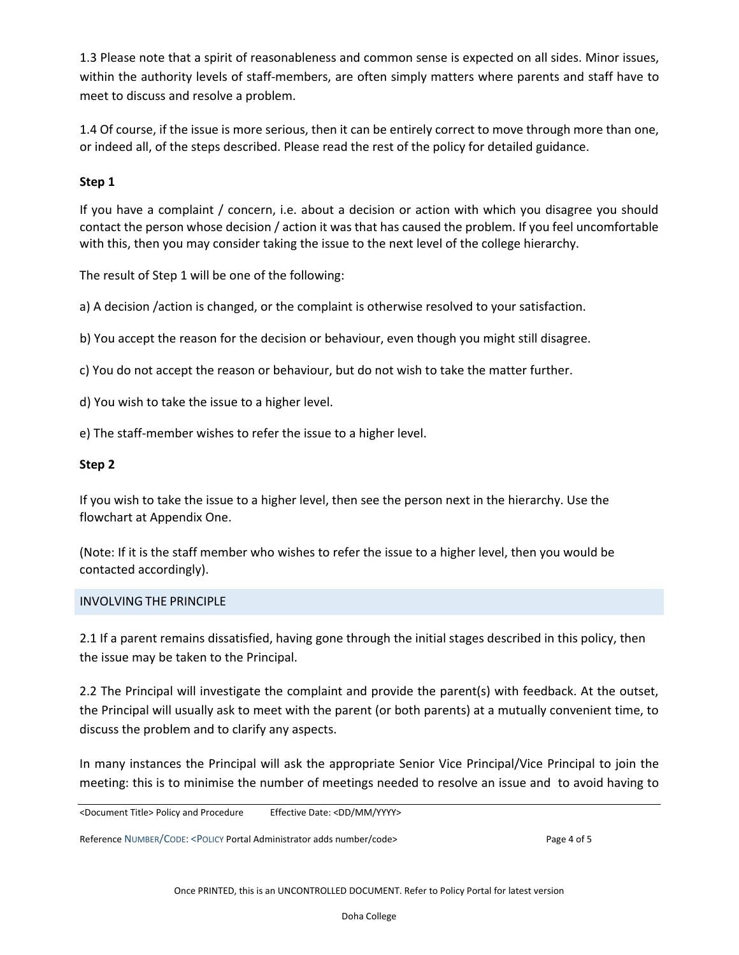1.3 Please note that a spirit of reasonableness and common sense is expected on all sides. Minor issues, within the authority levels of staff‐members, are often simply matters where parents and staff have to meet to discuss and resolve a problem.

1.4 Of course, if the issue is more serious, then it can be entirely correct to move through more than one, or indeed all, of the steps described. Please read the rest of the policy for detailed guidance.

#### **Step 1**

If you have a complaint / concern, i.e. about a decision or action with which you disagree you should contact the person whose decision / action it was that has caused the problem. If you feel uncomfortable with this, then you may consider taking the issue to the next level of the college hierarchy.

The result of Step 1 will be one of the following:

a) A decision /action is changed, or the complaint is otherwise resolved to your satisfaction.

b) You accept the reason for the decision or behaviour, even though you might still disagree.

c) You do not accept the reason or behaviour, but do not wish to take the matter further.

d) You wish to take the issue to a higher level.

e) The staff‐member wishes to refer the issue to a higher level.

#### **Step 2**

If you wish to take the issue to a higher level, then see the person next in the hierarchy. Use the flowchart at Appendix One.

(Note: If it is the staff member who wishes to refer the issue to a higher level, then you would be contacted accordingly).

#### INVOLVING THE PRINCIPLE

2.1 If a parent remains dissatisfied, having gone through the initial stages described in this policy, then the issue may be taken to the Principal.

2.2 The Principal will investigate the complaint and provide the parent(s) with feedback. At the outset, the Principal will usually ask to meet with the parent (or both parents) at a mutually convenient time, to discuss the problem and to clarify any aspects.

In many instances the Principal will ask the appropriate Senior Vice Principal/Vice Principal to join the meeting: this is to minimise the number of meetings needed to resolve an issue and to avoid having to

Reference NUMBER/CODE: <POLICY Portal Administrator adds number/code> Page 4 of 5

<sup>&</sup>lt;Document Title> Policy and Procedure Effective Date: <DD/MM/YYYY>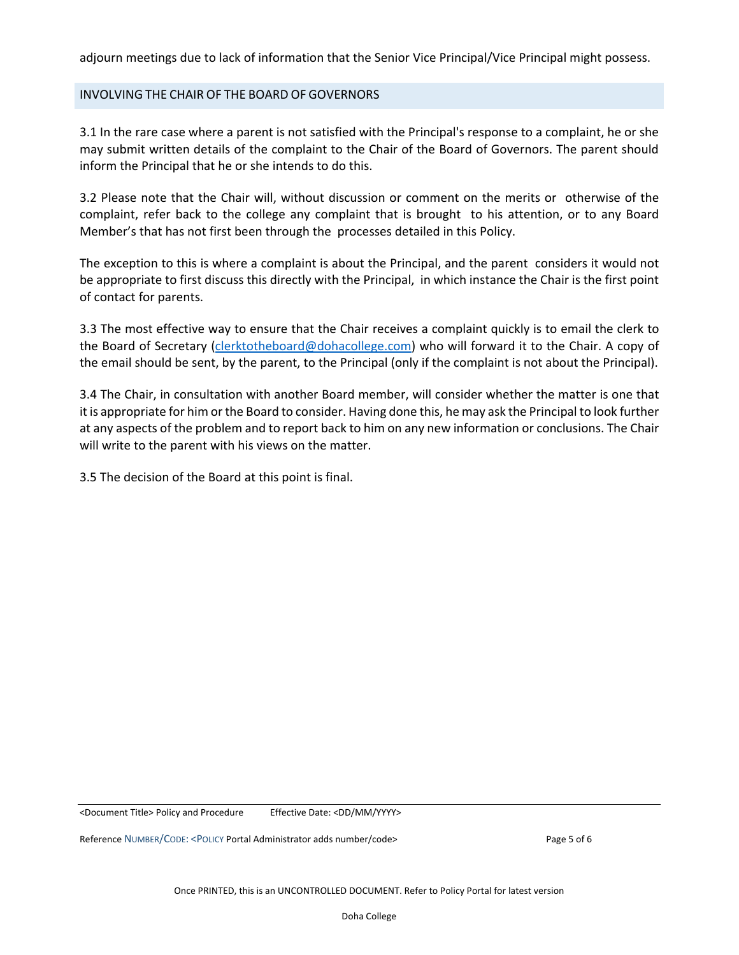adjourn meetings due to lack of information that the Senior Vice Principal/Vice Principal might possess.

#### INVOLVING THE CHAIR OF THE BOARD OF GOVERNORS

3.1 In the rare case where a parent is not satisfied with the Principal's response to a complaint, he or she may submit written details of the complaint to the Chair of the Board of Governors. The parent should inform the Principal that he or she intends to do this.

3.2 Please note that the Chair will, without discussion or comment on the merits or otherwise of the complaint, refer back to the college any complaint that is brought to his attention, or to any Board Member's that has not first been through the processes detailed in this Policy.

The exception to this is where a complaint is about the Principal, and the parent considers it would not be appropriate to first discuss this directly with the Principal, in which instance the Chair is the first point of contact for parents.

3.3 The most effective way to ensure that the Chair receives a complaint quickly is to email the clerk to the Board of Secretary (clerktotheboard@dohacollege.com) who will forward it to the Chair. A copy of the email should be sent, by the parent, to the Principal (only if the complaint is not about the Principal).

3.4 The Chair, in consultation with another Board member, will consider whether the matter is one that it is appropriate for him or the Board to consider. Having done this, he may ask the Principal to look further at any aspects of the problem and to report back to him on any new information or conclusions. The Chair will write to the parent with his views on the matter.

3.5 The decision of the Board at this point is final.

<Document Title> Policy and Procedure Effective Date: <DD/MM/YYYY>

Reference NUMBER/CODE: <POLICY Portal Administrator adds number/code> Page 5 of 6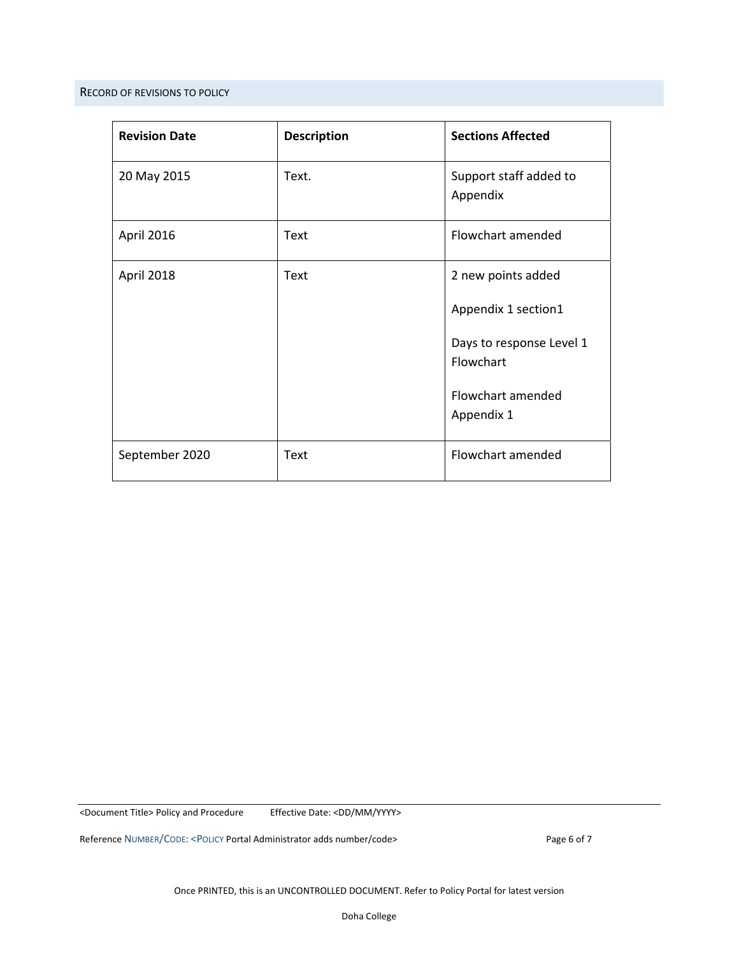#### RECORD OF REVISIONS TO POLICY

| <b>Revision Date</b> | <b>Description</b> | <b>Sections Affected</b>                                                                                              |
|----------------------|--------------------|-----------------------------------------------------------------------------------------------------------------------|
| 20 May 2015          | Text.              | Support staff added to<br>Appendix                                                                                    |
| April 2016           | Text               | Flowchart amended                                                                                                     |
| April 2018           | Text               | 2 new points added<br>Appendix 1 section1<br>Days to response Level 1<br>Flowchart<br>Flowchart amended<br>Appendix 1 |
| September 2020       | Text               | Flowchart amended                                                                                                     |

<Document Title> Policy and Procedure Effective Date: <DD/MM/YYYY>

Reference NUMBER/CODE: <POLICY Portal Administrator adds number/code> Page 6 of 7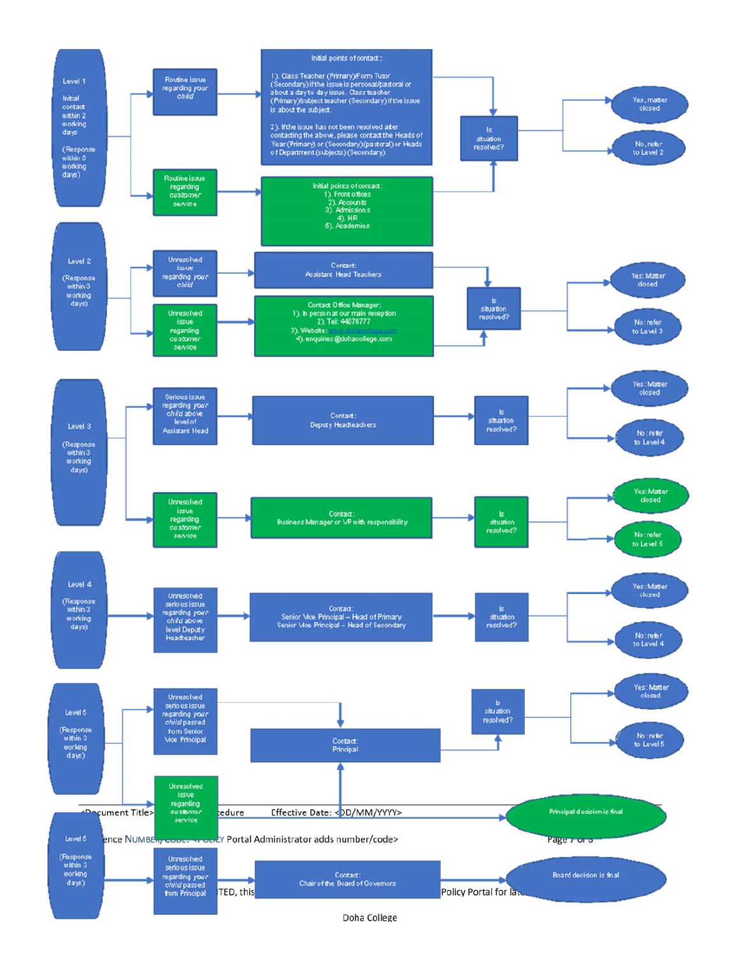

Doha College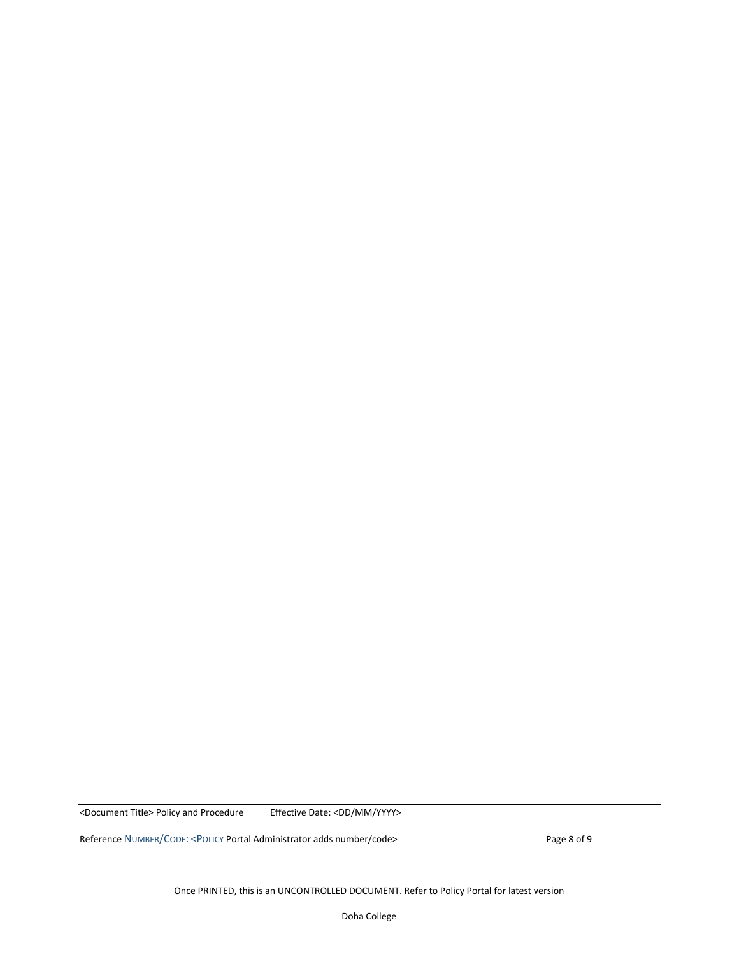<Document Title> Policy and Procedure Effective Date: <DD/MM/YYYY>

Reference NUMBER/CODE: <POLICY Portal Administrator adds number/code> Page 8 of 9